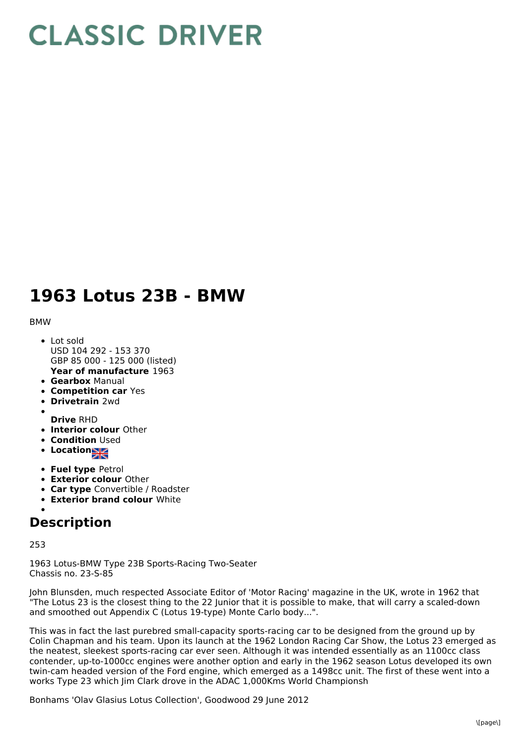# **CLASSIC DRIVER**

## **1963 Lotus 23B - BMW**

#### BMW

- **Year of manufacture** 1963 Lot sold USD 104 292 - 153 370 GBP 85 000 - 125 000 (listed)
- **Gearbox** Manual
- **Competition car** Yes
- **Drivetrain** 2wd
- 
- **Drive** RHD
- **Interior colour** Other
- **Condition Used**
- **Location**
- **Fuel type** Petrol
- **Exterior colour** Other
- **Car type** Convertible / Roadster
- **Exterior brand colour** White

### **Description**

#### 253

1963 Lotus-BMW Type 23B Sports-Racing Two-Seater Chassis no. 23-S-85

John Blunsden, much respected Associate Editor of 'Motor Racing' magazine in the UK, wrote in 1962 that "The Lotus 23 is the closest thing to the 22 Junior that it is possible to make, that will carry a scaled-down and smoothed out Appendix C (Lotus 19-type) Monte Carlo body...".

This was in fact the last purebred small-capacity sports-racing car to be designed from the ground up by Colin Chapman and his team. Upon its launch at the 1962 London Racing Car Show, the Lotus 23 emerged as the neatest, sleekest sports-racing car ever seen. Although it was intended essentially as an 1100cc class contender, up-to-1000cc engines were another option and early in the 1962 season Lotus developed its own twin-cam headed version of the Ford engine, which emerged as a 1498cc unit. The first of these went into a works Type 23 which Jim Clark drove in the ADAC 1,000Kms World Championsh

Bonhams 'Olav Glasius Lotus Collection', Goodwood 29 June 2012